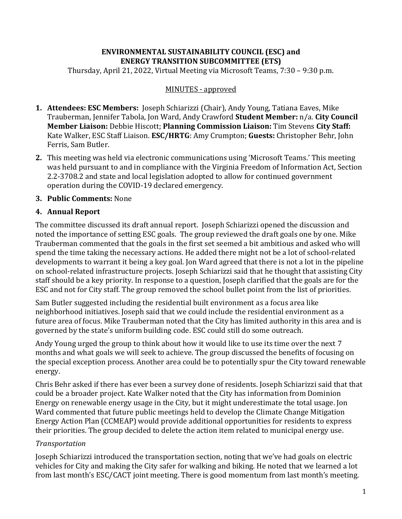## **ENVIRONMENTAL SUSTAINABILITY COUNCIL (ESC) and ENERGY TRANSITION SUBCOMMITTEE (ETS)**

Thursday, April 21, 2022, Virtual Meeting via Microsoft Teams, 7:30 – 9:30 p.m.

### MINUTES - approved

- **1. Attendees: ESC Members:** Joseph Schiarizzi (Chair), Andy Young, Tatiana Eaves, Mike Trauberman, Jennifer Tabola, Jon Ward, Andy Crawford **Student Member:** n/a. **City Council Member Liaison:** Debbie Hiscott; **Planning Commission Liaison:** Tim Stevens **City Staff:** Kate Walker, ESC Staff Liaison. **ESC/HRTG**: Amy Crumpton; **Guests:** Christopher Behr, John Ferris, Sam Butler.
- **2.** This meeting was held via electronic communications using 'Microsoft Teams.' This meeting was held pursuant to and in compliance with the Virginia Freedom of Information Act, Section 2.2-3708.2 and state and local legislation adopted to allow for continued government operation during the COVID-19 declared emergency.

### **3. Public Comments:** None

### **4. Annual Report**

The committee discussed its draft annual report. Joseph Schiarizzi opened the discussion and noted the importance of setting ESC goals. The group reviewed the draft goals one by one. Mike Trauberman commented that the goals in the first set seemed a bit ambitious and asked who will spend the time taking the necessary actions. He added there might not be a lot of school-related developments to warrant it being a key goal. Jon Ward agreed that there is not a lot in the pipeline on school-related infrastructure projects. Joseph Schiarizzi said that he thought that assisting City staff should be a key priority. In response to a question, Joseph clarified that the goals are for the ESC and not for City staff. The group removed the school bullet point from the list of priorities.

Sam Butler suggested including the residential built environment as a focus area like neighborhood initiatives. Joseph said that we could include the residential environment as a future area of focus. Mike Trauberman noted that the City has limited authority in this area and is governed by the state's uniform building code. ESC could still do some outreach.

Andy Young urged the group to think about how it would like to use its time over the next 7 months and what goals we will seek to achieve. The group discussed the benefits of focusing on the special exception process. Another area could be to potentially spur the City toward renewable energy.

Chris Behr asked if there has ever been a survey done of residents. Joseph Schiarizzi said that that could be a broader project. Kate Walker noted that the City has information from Dominion Energy on renewable energy usage in the City, but it might underestimate the total usage. Jon Ward commented that future public meetings held to develop the Climate Change Mitigation Energy Action Plan (CCMEAP) would provide additional opportunities for residents to express their priorities. The group decided to delete the action item related to municipal energy use.

#### *Transportation*

Joseph Schiarizzi introduced the transportation section, noting that we've had goals on electric vehicles for City and making the City safer for walking and biking. He noted that we learned a lot from last month's ESC/CACT joint meeting. There is good momentum from last month's meeting.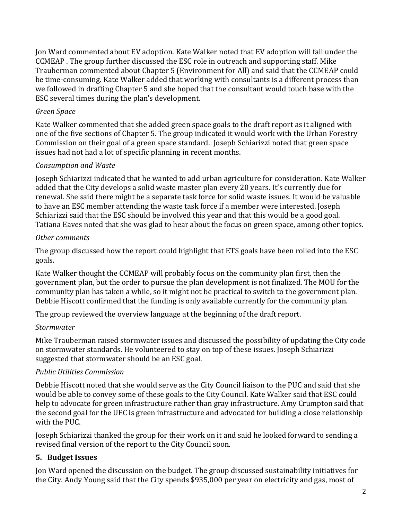Jon Ward commented about EV adoption. Kate Walker noted that EV adoption will fall under the CCMEAP . The group further discussed the ESC role in outreach and supporting staff. Mike Trauberman commented about Chapter 5 (Environment for All) and said that the CCMEAP could be time-consuming. Kate Walker added that working with consultants is a different process than we followed in drafting Chapter 5 and she hoped that the consultant would touch base with the ESC several times during the plan's development.

## *Green Space*

Kate Walker commented that she added green space goals to the draft report as it aligned with one of the five sections of Chapter 5. The group indicated it would work with the Urban Forestry Commission on their goal of a green space standard. Joseph Schiarizzi noted that green space issues had not had a lot of specific planning in recent months.

### *Consumption and Waste*

Joseph Schiarizzi indicated that he wanted to add urban agriculture for consideration. Kate Walker added that the City develops a solid waste master plan every 20 years. It's currently due for renewal. She said there might be a separate task force for solid waste issues. It would be valuable to have an ESC member attending the waste task force if a member were interested. Joseph Schiarizzi said that the ESC should be involved this year and that this would be a good goal. Tatiana Eaves noted that she was glad to hear about the focus on green space, among other topics.

#### *Other comments*

The group discussed how the report could highlight that ETS goals have been rolled into the ESC goals.

Kate Walker thought the CCMEAP will probably focus on the community plan first, then the government plan, but the order to pursue the plan development is not finalized. The MOU for the community plan has taken a while, so it might not be practical to switch to the government plan. Debbie Hiscott confirmed that the funding is only available currently for the community plan.

The group reviewed the overview language at the beginning of the draft report.

#### *Stormwater*

Mike Trauberman raised stormwater issues and discussed the possibility of updating the City code on stormwater standards. He volunteered to stay on top of these issues. Joseph Schiarizzi suggested that stormwater should be an ESC goal.

#### *Public Utilities Commission*

Debbie Hiscott noted that she would serve as the City Council liaison to the PUC and said that she would be able to convey some of these goals to the City Council. Kate Walker said that ESC could help to advocate for green infrastructure rather than gray infrastructure. Amy Crumpton said that the second goal for the UFC is green infrastructure and advocated for building a close relationship with the PUC.

Joseph Schiarizzi thanked the group for their work on it and said he looked forward to sending a revised final version of the report to the City Council soon.

## **5. Budget Issues**

Jon Ward opened the discussion on the budget. The group discussed sustainability initiatives for the City. Andy Young said that the City spends \$935,000 per year on electricity and gas, most of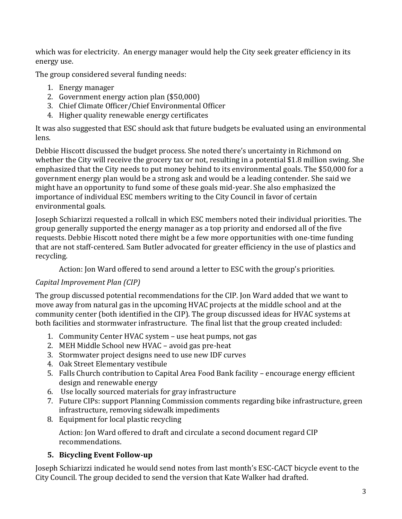which was for electricity. An energy manager would help the City seek greater efficiency in its energy use.

The group considered several funding needs:

- 1. Energy manager
- 2. Government energy action plan (\$50,000)
- 3. Chief Climate Officer/Chief Environmental Officer
- 4. Higher quality renewable energy certificates

It was also suggested that ESC should ask that future budgets be evaluated using an environmental lens.

Debbie Hiscott discussed the budget process. She noted there's uncertainty in Richmond on whether the City will receive the grocery tax or not, resulting in a potential \$1.8 million swing. She emphasized that the City needs to put money behind to its environmental goals. The \$50,000 for a government energy plan would be a strong ask and would be a leading contender. She said we might have an opportunity to fund some of these goals mid-year. She also emphasized the importance of individual ESC members writing to the City Council in favor of certain environmental goals.

Joseph Schiarizzi requested a rollcall in which ESC members noted their individual priorities. The group generally supported the energy manager as a top priority and endorsed all of the five requests. Debbie Hiscott noted there might be a few more opportunities with one-time funding that are not staff-centered. Sam Butler advocated for greater efficiency in the use of plastics and recycling.

Action: Jon Ward offered to send around a letter to ESC with the group's priorities.

# *Capital Improvement Plan (CIP)*

The group discussed potential recommendations for the CIP. Jon Ward added that we want to move away from natural gas in the upcoming HVAC projects at the middle school and at the community center (both identified in the CIP). The group discussed ideas for HVAC systems at both facilities and stormwater infrastructure. The final list that the group created included:

- 1. Community Center HVAC system use heat pumps, not gas
- 2. MEH Middle School new HVAC avoid gas pre-heat
- 3. Stormwater project designs need to use new IDF curves
- 4. Oak Street Elementary vestibule
- 5. Falls Church contribution to Capital Area Food Bank facility encourage energy efficient design and renewable energy
- 6. Use locally sourced materials for gray infrastructure
- 7. Future CIPs: support Planning Commission comments regarding bike infrastructure, green infrastructure, removing sidewalk impediments
- 8. Equipment for local plastic recycling

Action: Jon Ward offered to draft and circulate a second document regard CIP recommendations.

## **5. Bicycling Event Follow-up**

Joseph Schiarizzi indicated he would send notes from last month's ESC-CACT bicycle event to the City Council. The group decided to send the version that Kate Walker had drafted.